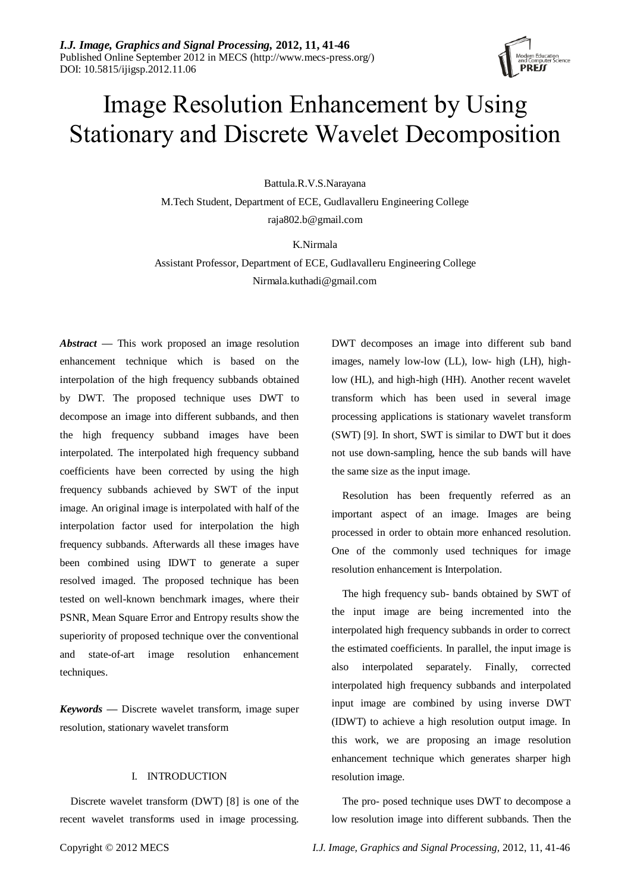# Image Resolution Enhancement by Using Stationary and Discrete Wavelet Decomposition

Battula.R.V.S.Narayana M.Tech Student, Department of ECE, Gudlavalleru Engineering College raja802.b@gmail.com

K.Nirmala

Assistant Professor, Department of ECE, Gudlavalleru Engineering College Nirmala.kuthadi@gmail.com

*Abstract —* This work proposed an image resolution enhancement technique which is based on the interpolation of the high frequency subbands obtained by DWT. The proposed technique uses DWT to decompose an image into different subbands, and then the high frequency subband images have been interpolated. The interpolated high frequency subband coefficients have been corrected by using the high frequency subbands achieved by SWT of the input image. An original image is interpolated with half of the interpolation factor used for interpolation the high frequency subbands. Afterwards all these images have been combined using IDWT to generate a super resolved imaged. The proposed technique has been tested on well-known benchmark images, where their PSNR, Mean Square Error and Entropy results show the superiority of proposed technique over the conventional and state-of-art image resolution enhancement techniques.

*Keywords —* Discrete wavelet transform, image super resolution, stationary wavelet transform

## I. INTRODUCTION

Discrete wavelet transform (DWT) [8] is one of the recent wavelet transforms used in image processing.

DWT decomposes an image into different sub band images, namely low-low (LL), low- high (LH), highlow (HL), and high-high (HH). Another recent wavelet transform which has been used in several image processing applications is stationary wavelet transform (SWT) [9]. In short, SWT is similar to DWT but it does not use down-sampling, hence the sub bands will have the same size as the input image.

Resolution has been frequently referred as an important aspect of an image. Images are being processed in order to obtain more enhanced resolution. One of the commonly used techniques for image resolution enhancement is Interpolation.

The high frequency sub- bands obtained by SWT of the input image are being incremented into the interpolated high frequency subbands in order to correct the estimated coefficients. In parallel, the input image is also interpolated separately. Finally, corrected interpolated high frequency subbands and interpolated input image are combined by using inverse DWT (IDWT) to achieve a high resolution output image. In this work, we are proposing an image resolution enhancement technique which generates sharper high resolution image.

The pro- posed technique uses DWT to decompose a low resolution image into different subbands. Then the

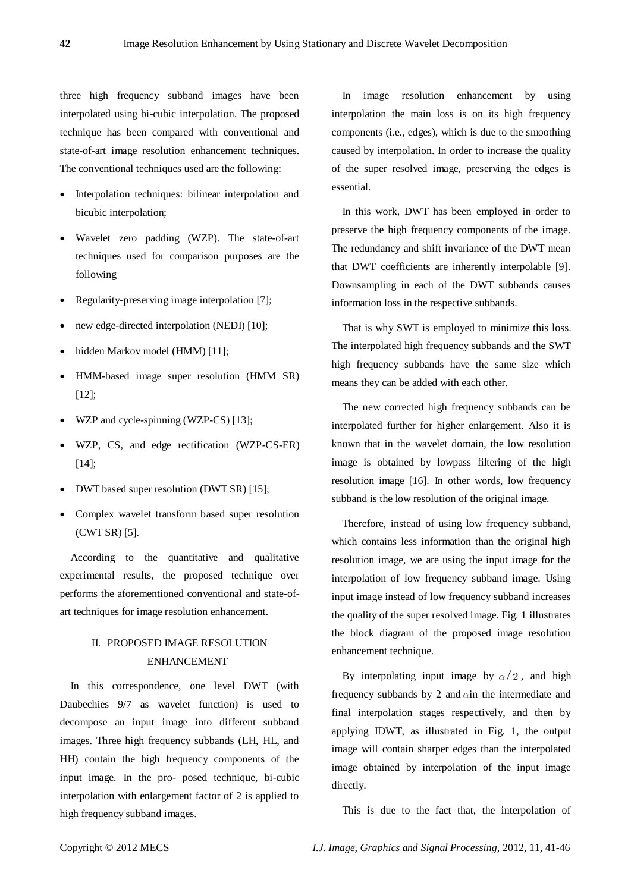three high frequency subband images have been interpolated using bi-cubic interpolation. The proposed technique has been compared with conventional and state-of-art image resolution enhancement techniques. The conventional techniques used are the following:

- Interpolation techniques: bilinear interpolation and bicubic interpolation;
- Wavelet zero padding (WZP). The state-of-art techniques used for comparison purposes are the following
- Regularity-preserving image interpolation [7];
- new edge-directed interpolation (NEDI) [10];
- hidden Markov model (HMM) [11];
- HMM-based image super resolution (HMM SR) [12];
- WZP and cycle-spinning (WZP-CS) [13];
- WZP, CS, and edge rectification (WZP-CS-ER) [14];
- DWT based super resolution (DWT SR) [15];
- Complex wavelet transform based super resolution (CWT SR) [5].

According to the quantitative and qualitative experimental results, the proposed technique over performs the aforementioned conventional and state-ofart techniques for image resolution enhancement.

# II. PROPOSED IMAGE RESOLUTION ENHANCEMENT

In this correspondence, one level DWT (with Daubechies 9/7 as wavelet function) is used to decompose an input image into different subband images. Three high frequency subbands (LH, HL, and HH) contain the high frequency components of the input image. In the pro- posed technique, bi-cubic interpolation with enlargement factor of 2 is applied to high frequency subband images.

In image resolution enhancement by using interpolation the main loss is on its high frequency components (i.e., edges), which is due to the smoothing caused by interpolation. In order to increase the quality of the super resolved image, preserving the edges is essential.

In this work, DWT has been employed in order to preserve the high frequency components of the image. The redundancy and shift invariance of the DWT mean that DWT coefficients are inherently interpolable [9]. Downsampling in each of the DWT subbands causes information loss in the respective subbands.

That is why SWT is employed to minimize this loss. The interpolated high frequency subbands and the SWT high frequency subbands have the same size which means they can be added with each other.

The new corrected high frequency subbands can be interpolated further for higher enlargement. Also it is known that in the wavelet domain, the low resolution image is obtained by lowpass filtering of the high resolution image [16]. In other words, low frequency subband is the low resolution of the original image.

Therefore, instead of using low frequency subband, which contains less information than the original high resolution image, we are using the input image for the interpolation of low frequency subband image. Using input image instead of low frequency subband increases the quality of the super resolved image. Fig. 1 illustrates the block diagram of the proposed image resolution enhancement technique.

By interpolating input image by  $\alpha/2$ , and high frequency subbands by 2 and  $\alpha$  in the intermediate and final interpolation stages respectively, and then by applying IDWT, as illustrated in Fig. 1, the output image will contain sharper edges than the interpolated image obtained by interpolation of the input image directly.

This is due to the fact that, the interpolation of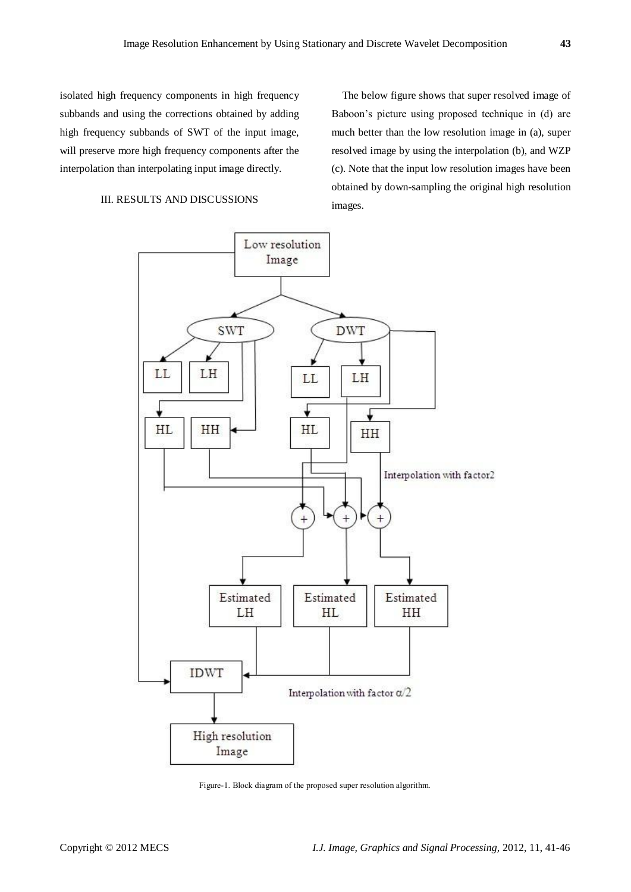isolated high frequency components in high frequency subbands and using the corrections obtained by adding high frequency subbands of SWT of the input image, will preserve more high frequency components after the interpolation than interpolating input image directly.

#### III. RESULTS AND DISCUSSIONS

The below figure shows that super resolved image of Baboon's picture using proposed technique in (d) are much better than the low resolution image in (a), super resolved image by using the interpolation (b), and WZP (c). Note that the input low resolution images have been obtained by down-sampling the original high resolution images.



Figure-1. Block diagram of the proposed super resolution algorithm.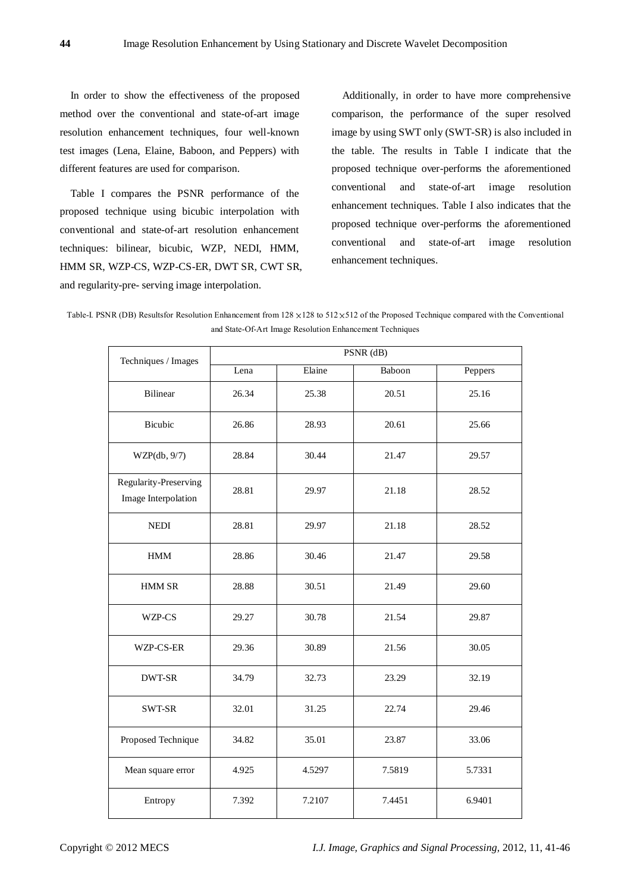In order to show the effectiveness of the proposed method over the conventional and state-of-art image resolution enhancement techniques, four well-known test images (Lena, Elaine, Baboon, and Peppers) with different features are used for comparison.

Table I compares the PSNR performance of the proposed technique using bicubic interpolation with conventional and state-of-art resolution enhancement techniques: bilinear, bicubic, WZP, NEDI, HMM, HMM SR, WZP-CS, WZP-CS-ER, DWT SR, CWT SR, and regularity-pre- serving image interpolation.

Additionally, in order to have more comprehensive comparison, the performance of the super resolved image by using SWT only (SWT-SR) is also included in the table. The results in Table I indicate that the proposed technique over-performs the aforementioned conventional and state-of-art image resolution enhancement techniques. Table I also indicates that the proposed technique over-performs the aforementioned conventional and state-of-art image resolution enhancement techniques.

Table-I. PSNR (DB) Resultsfor Resolution Enhancement from  $128 \times 128$  to  $512 \times 512$  of the Proposed Technique compared with the Conventional and State-Of-Art Image Resolution Enhancement Techniques

| Techniques / Images                          | PSNR (dB) |        |        |         |
|----------------------------------------------|-----------|--------|--------|---------|
|                                              | Lena      | Elaine | Baboon | Peppers |
| Bilinear                                     | 26.34     | 25.38  | 20.51  | 25.16   |
| <b>Bicubic</b>                               | 26.86     | 28.93  | 20.61  | 25.66   |
| WZP(db, 9/7)                                 | 28.84     | 30.44  | 21.47  | 29.57   |
| Regularity-Preserving<br>Image Interpolation | 28.81     | 29.97  | 21.18  | 28.52   |
| <b>NEDI</b>                                  | 28.81     | 29.97  | 21.18  | 28.52   |
| <b>HMM</b>                                   | 28.86     | 30.46  | 21.47  | 29.58   |
| HMM SR                                       | 28.88     | 30.51  | 21.49  | 29.60   |
| WZP-CS                                       | 29.27     | 30.78  | 21.54  | 29.87   |
| WZP-CS-ER                                    | 29.36     | 30.89  | 21.56  | 30.05   |
| DWT-SR                                       | 34.79     | 32.73  | 23.29  | 32.19   |
| SWT-SR                                       | 32.01     | 31.25  | 22.74  | 29.46   |
| Proposed Technique                           | 34.82     | 35.01  | 23.87  | 33.06   |
| Mean square error                            | 4.925     | 4.5297 | 7.5819 | 5.7331  |
| Entropy                                      | 7.392     | 7.2107 | 7.4451 | 6.9401  |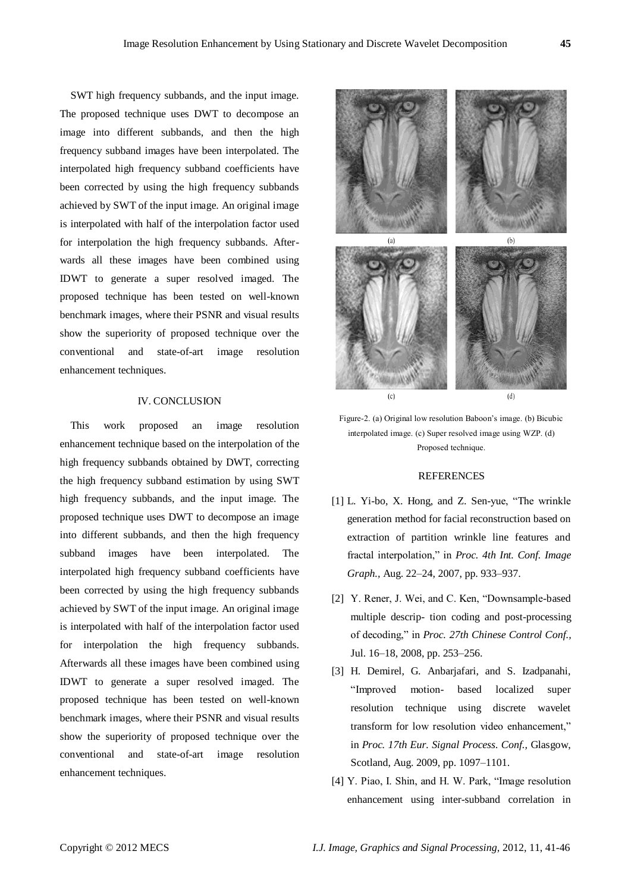SWT high frequency subbands, and the input image. The proposed technique uses DWT to decompose an image into different subbands, and then the high frequency subband images have been interpolated. The interpolated high frequency subband coefficients have been corrected by using the high frequency subbands achieved by SWT of the input image. An original image is interpolated with half of the interpolation factor used for interpolation the high frequency subbands. Afterwards all these images have been combined using IDWT to generate a super resolved imaged. The proposed technique has been tested on well-known benchmark images, where their PSNR and visual results show the superiority of proposed technique over the conventional and state-of-art image resolution enhancement techniques.

### IV. CONCLUSION

This work proposed an image resolution enhancement technique based on the interpolation of the high frequency subbands obtained by DWT, correcting the high frequency subband estimation by using SWT high frequency subbands, and the input image. The proposed technique uses DWT to decompose an image into different subbands, and then the high frequency subband images have been interpolated. The interpolated high frequency subband coefficients have been corrected by using the high frequency subbands achieved by SWT of the input image. An original image is interpolated with half of the interpolation factor used for interpolation the high frequency subbands. Afterwards all these images have been combined using IDWT to generate a super resolved imaged. The proposed technique has been tested on well-known benchmark images, where their PSNR and visual results show the superiority of proposed technique over the conventional and state-of-art image resolution enhancement techniques.



Figure-2. (a) Original low resolution Baboon's image. (b) Bicubic interpolated image. (c) Super resolved image using WZP. (d) Proposed technique.

#### REFERENCES

- [1] L. Yi-bo, X. Hong, and Z. Sen-yue, "The wrinkle generation method for facial reconstruction based on extraction of partition wrinkle line features and fractal interpolation," in *Proc. 4th Int. Conf. Image Graph.,* Aug. 22–24, 2007, pp. 933–937.
- [2] Y. Rener, J. Wei, and C. Ken, "Downsample-based multiple descrip- tion coding and post-processing of decoding," in *Proc. 27th Chinese Control Conf.,*  Jul. 16–18, 2008, pp. 253–256.
- [3] H. Demirel, G. Anbarjafari, and S. Izadpanahi, "Improved motion- based localized super resolution technique using discrete wavelet transform for low resolution video enhancement," in *Proc. 17th Eur. Signal Process. Conf.,* Glasgow, Scotland, Aug. 2009, pp. 1097–1101.
- [4] Y. Piao, I. Shin, and H. W. Park, "Image resolution enhancement using inter-subband correlation in